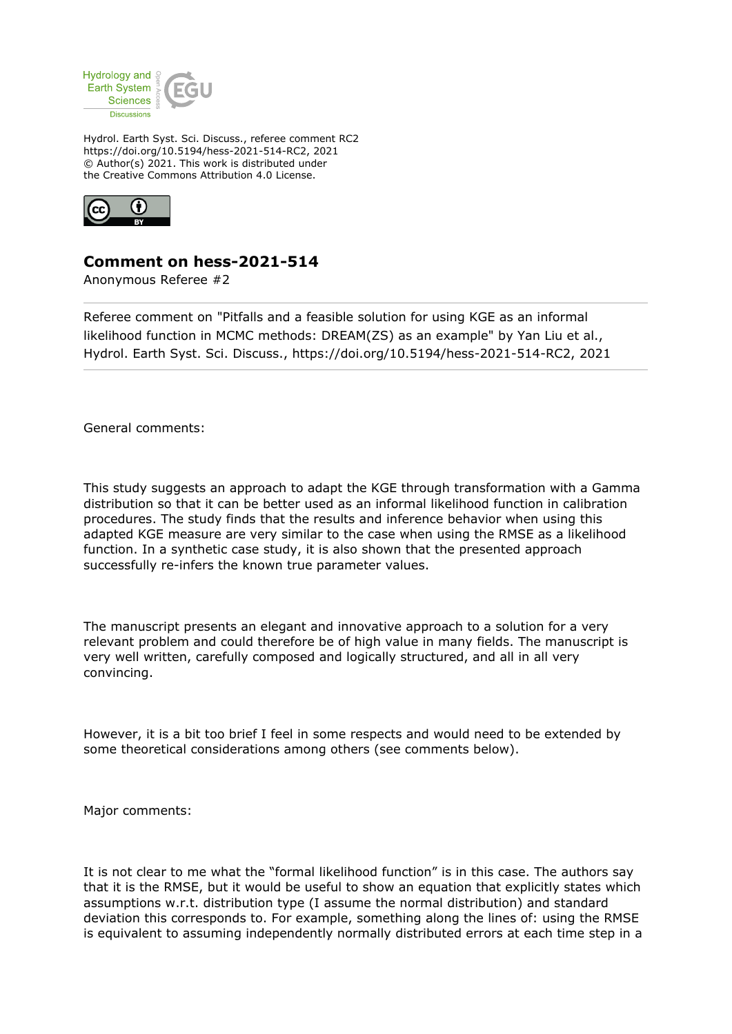

Hydrol. Earth Syst. Sci. Discuss., referee comment RC2 https://doi.org/10.5194/hess-2021-514-RC2, 2021 © Author(s) 2021. This work is distributed under the Creative Commons Attribution 4.0 License.



## **Comment on hess-2021-514**

Anonymous Referee #2

Referee comment on "Pitfalls and a feasible solution for using KGE as an informal likelihood function in MCMC methods: DREAM(ZS) as an example" by Yan Liu et al., Hydrol. Earth Syst. Sci. Discuss., https://doi.org/10.5194/hess-2021-514-RC2, 2021

General comments:

This study suggests an approach to adapt the KGE through transformation with a Gamma distribution so that it can be better used as an informal likelihood function in calibration procedures. The study finds that the results and inference behavior when using this adapted KGE measure are very similar to the case when using the RMSE as a likelihood function. In a synthetic case study, it is also shown that the presented approach successfully re-infers the known true parameter values.

The manuscript presents an elegant and innovative approach to a solution for a very relevant problem and could therefore be of high value in many fields. The manuscript is very well written, carefully composed and logically structured, and all in all very convincing.

However, it is a bit too brief I feel in some respects and would need to be extended by some theoretical considerations among others (see comments below).

Major comments:

It is not clear to me what the "formal likelihood function" is in this case. The authors say that it is the RMSE, but it would be useful to show an equation that explicitly states which assumptions w.r.t. distribution type (I assume the normal distribution) and standard deviation this corresponds to. For example, something along the lines of: using the RMSE is equivalent to assuming independently normally distributed errors at each time step in a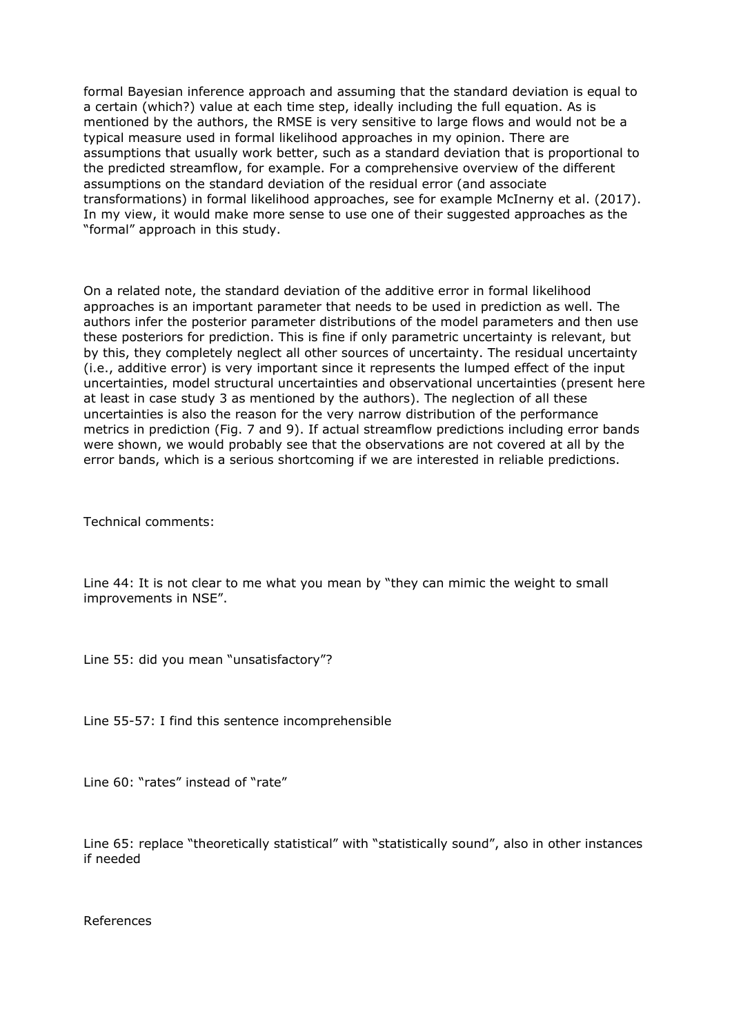formal Bayesian inference approach and assuming that the standard deviation is equal to a certain (which?) value at each time step, ideally including the full equation. As is mentioned by the authors, the RMSE is very sensitive to large flows and would not be a typical measure used in formal likelihood approaches in my opinion. There are assumptions that usually work better, such as a standard deviation that is proportional to the predicted streamflow, for example. For a comprehensive overview of the different assumptions on the standard deviation of the residual error (and associate transformations) in formal likelihood approaches, see for example McInerny et al. (2017). In my view, it would make more sense to use one of their suggested approaches as the "formal" approach in this study.

On a related note, the standard deviation of the additive error in formal likelihood approaches is an important parameter that needs to be used in prediction as well. The authors infer the posterior parameter distributions of the model parameters and then use these posteriors for prediction. This is fine if only parametric uncertainty is relevant, but by this, they completely neglect all other sources of uncertainty. The residual uncertainty (i.e., additive error) is very important since it represents the lumped effect of the input uncertainties, model structural uncertainties and observational uncertainties (present here at least in case study 3 as mentioned by the authors). The neglection of all these uncertainties is also the reason for the very narrow distribution of the performance metrics in prediction (Fig. 7 and 9). If actual streamflow predictions including error bands were shown, we would probably see that the observations are not covered at all by the error bands, which is a serious shortcoming if we are interested in reliable predictions.

Technical comments:

Line 44: It is not clear to me what you mean by "they can mimic the weight to small improvements in NSE".

Line 55: did you mean "unsatisfactory"?

Line 55-57: I find this sentence incomprehensible

Line 60: "rates" instead of "rate"

Line 65: replace "theoretically statistical" with "statistically sound", also in other instances if needed

References